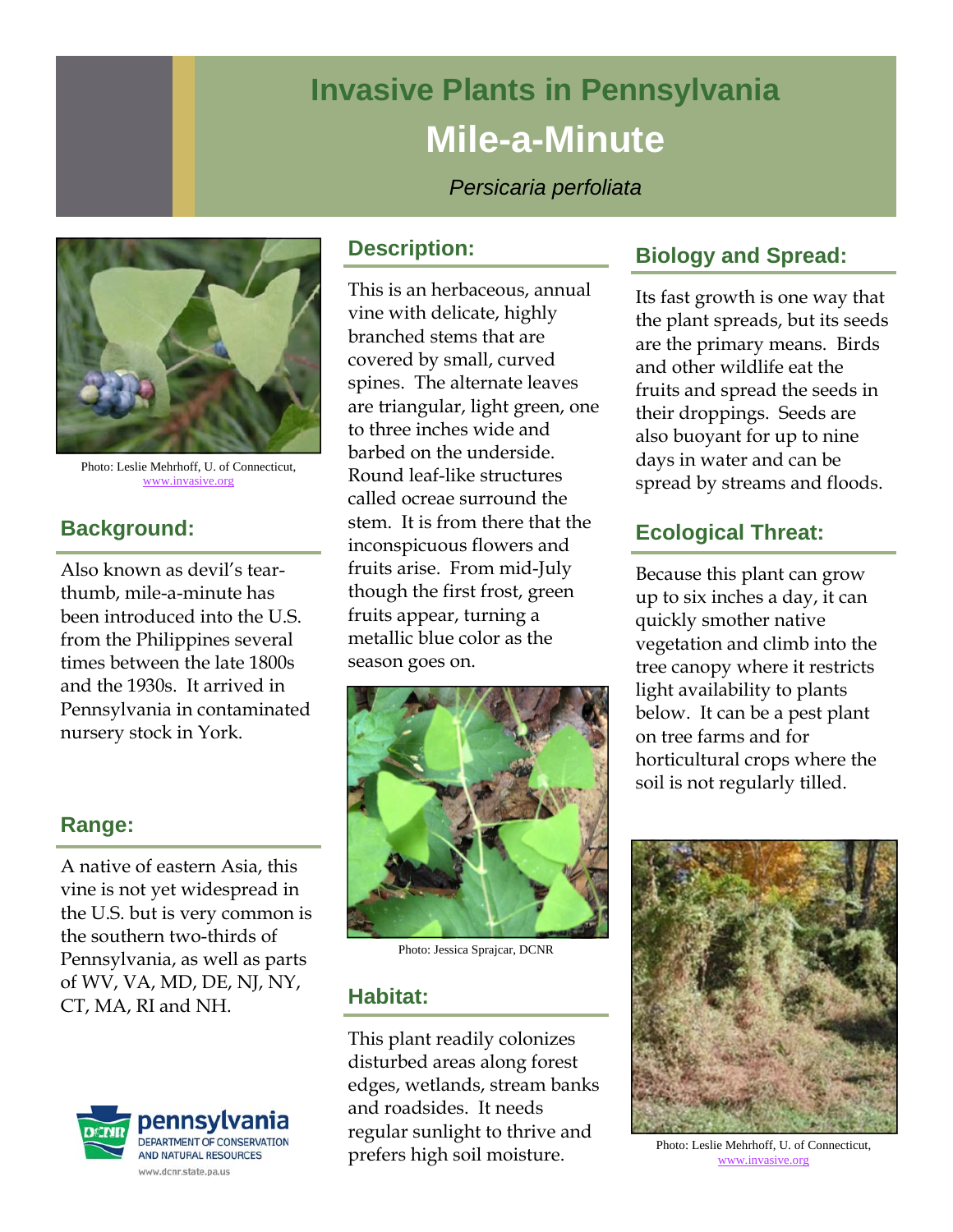# **Invasive Plants in Pennsylvania Mile-a-Minute**

*Persicaria perfoliata* 



Photo: Leslie Mehrhoff, U. of Connecticut, www.invasive.org

# **Background:**

Also known as devil's tearthumb, mile-a-minute has been introduced into the U.S. from the Philippines several times between the late 1800s and the 1930s. It arrived in Pennsylvania in contaminated nursery stock in York.

#### **Range:**

A native of eastern Asia, this vine is not yet widespread in the U.S. but is very common is the southern two-thirds of Pennsylvania, as well as parts of WV, VA, MD, DE, NJ, NY, CT, MA, RI and NH.



#### **Description:**

This is an herbaceous, annual vine with delicate, highly branched stems that are covered by small, curved spines. The alternate leaves are triangular, light green, one to three inches wide and barbed on the underside. Round leaf-like structures called ocreae surround the stem. It is from there that the inconspicuous flowers and fruits arise. From mid-July though the first frost, green fruits appear, turning a metallic blue color as the season goes on.



Photo: Jessica Sprajcar, DCNR

## **Habitat:**

This plant readily colonizes disturbed areas along forest edges, wetlands, stream banks and roadsides. It needs regular sunlight to thrive and prefers high soil moisture.

## **Biology and Spread:**

Its fast growth is one way that the plant spreads, but its seeds are the primary means. Birds and other wildlife eat the fruits and spread the seeds in their droppings. Seeds are also buoyant for up to nine days in water and can be spread by streams and floods.

## **Ecological Threat:**

Because this plant can grow up to six inches a day, it can quickly smother native vegetation and climb into the tree canopy where it restricts light availability to plants below. It can be a pest plant on tree farms and for horticultural crops where the soil is not regularly tilled.



Photo: Leslie Mehrhoff, U. of Connecticut, www.invasive.org